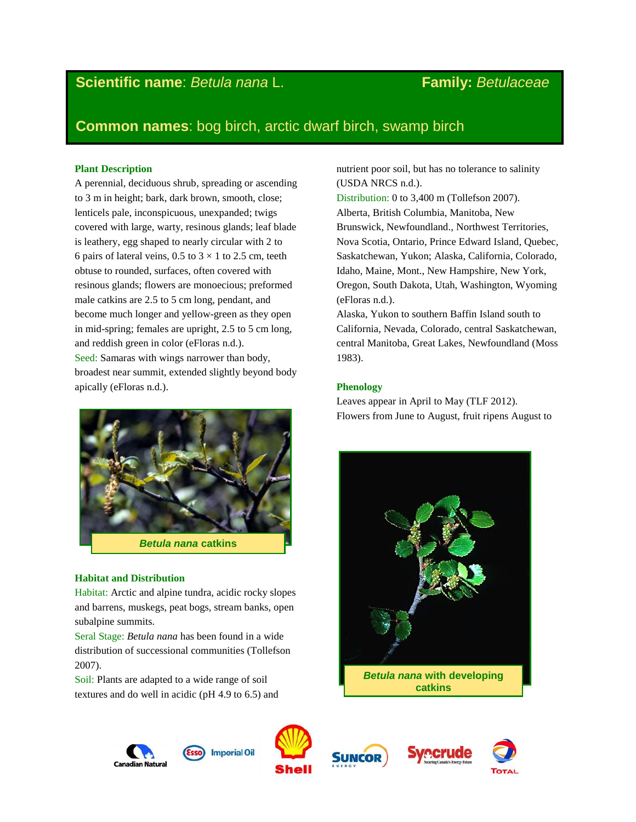# **Scientific name**: *Betula nana* L. **Family:** *[Betulaceae](http://www.itis.gov/servlet/SingleRpt/SingleRpt?search_topic=TSN&search_value=19465)*

# **Common names**: bog birch, arctic dwarf birch, swamp birch

# **Plant Description**

A perennial, deciduous shrub, spreading or ascending to 3 m in height; bark, dark brown, smooth, close; lenticels pale, inconspicuous, unexpanded; twigs covered with large, warty, resinous glands; leaf blade is leathery, egg shaped to nearly circular with 2 to 6 pairs of lateral veins, 0.5 to  $3 \times 1$  to 2.5 cm, teeth obtuse to rounded, surfaces, often covered with resinous glands; flowers are monoecious; preformed male catkins are 2.5 to 5 cm long, pendant, and become much longer and yellow-green as they open in mid-spring; females are upright, 2.5 to 5 cm long, and reddish green in color (eFloras n.d.). Seed: Samaras with wings narrower than body, broadest near summit, extended slightly beyond body apically (eFloras n.d.).



## **Habitat and Distribution**

Habitat: Arctic and alpine tundra, acidic rocky slopes and barrens, muskegs, peat bogs, stream banks, open subalpine summits.

Seral Stage: *Betula nana* has been found in a wide distribution of successional communities (Tollefson 2007).

Soil: Plants are adapted to a wide range of soil textures and do well in acidic (pH 4.9 to 6.5) and nutrient poor soil, but has no tolerance to salinity (USDA NRCS n.d.).

Distribution: 0 to 3,400 m (Tollefson 2007). Alberta, British Columbia, Manitoba, New Brunswick, Newfoundland., Northwest Territories, Nova Scotia, Ontario, Prince Edward Island, Quebec, Saskatchewan, Yukon; Alaska, California, Colorado, Idaho, Maine, Mont., New Hampshire, New York, Oregon, South Dakota, Utah, Washington, Wyoming (eFloras n.d.).

Alaska, Yukon to southern Baffin Island south to California, Nevada, Colorado, central Saskatchewan, central Manitoba, Great Lakes, Newfoundland (Moss 1983).

# **Phenology**

Leaves appear in April to May (TLF 2012). Flowers from June to August, fruit ripens August to











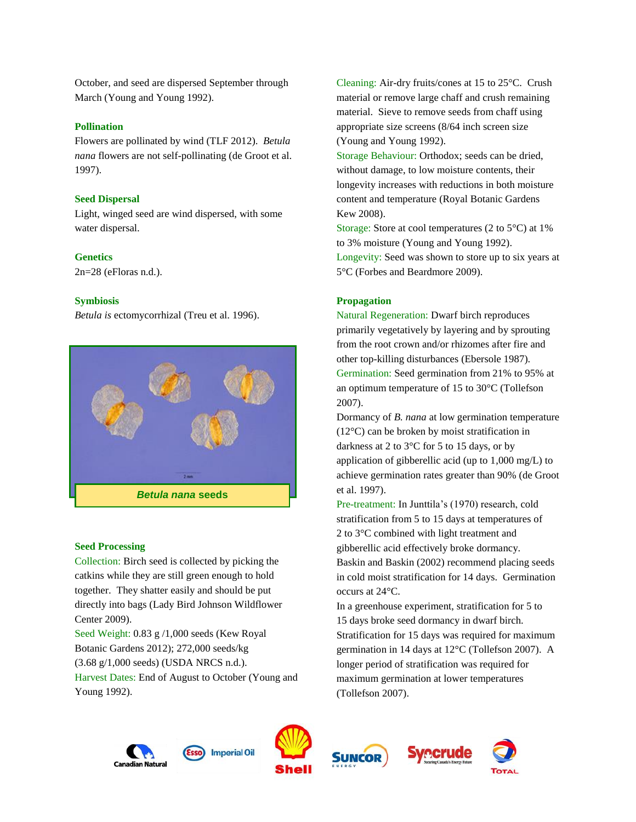October, and seed are dispersed September through March (Young and Young 1992).

# **Pollination**

Flowers are pollinated by wind (TLF 2012). *Betula nana* flowers are not self-pollinating (de Groot et al. 1997).

#### **Seed Dispersal**

Light, winged seed are wind dispersed, with some water dispersal.

#### **Genetics**

2n=28 (eFloras n.d.).

## **Symbiosis**

*Betula is* ectomycorrhizal (Treu et al. 1996).



# **Seed Processing**

Collection: Birch seed is collected by picking the catkins while they are still green enough to hold together. They shatter easily and should be put directly into bags (Lady Bird Johnson Wildflower Center 2009).

Seed Weight: 0.83 g /1,000 seeds (Kew Royal Botanic Gardens 2012); 272,000 seeds/kg (3.68 g/1,000 seeds) (USDA NRCS n.d.). Harvest Dates: End of August to October (Young and Young 1992).

Cleaning: Air-dry fruits/cones at 15 to 25°C. Crush material or remove large chaff and crush remaining material. Sieve to remove seeds from chaff using appropriate size screens (8/64 inch screen size (Young and Young 1992).

Storage Behaviour: Orthodox; seeds can be dried, without damage, to low moisture contents, their longevity increases with reductions in both moisture content and temperature (Royal Botanic Gardens Kew 2008).

Storage: Store at cool temperatures (2 to 5°C) at 1% to 3% moisture (Young and Young 1992). Longevity: Seed was shown to store up to six years at 5°C (Forbes and Beardmore 2009).

## **Propagation**

Natural Regeneration: Dwarf birch reproduces primarily vegetatively by layering and by sprouting from the root crown and/or rhizomes after fire and other top-killing disturbances (Ebersole 1987). Germination: Seed germination from 21% to 95% at an optimum temperature of 15 to 30°C (Tollefson 2007).

Dormancy of *B. nana* at low germination temperature (12°C) can be broken by moist stratification in darkness at 2 to 3°C for 5 to 15 days, or by application of gibberellic acid (up to 1,000 mg/L) to achieve germination rates greater than 90% (de Groot et al. 1997).

Pre-treatment: In Junttila's (1970) research, cold stratification from 5 to 15 days at temperatures of 2 to 3°C combined with light treatment and gibberellic acid effectively broke dormancy. Baskin and Baskin (2002) recommend placing seeds in cold moist stratification for 14 days. Germination occurs at 24°C.

In a greenhouse experiment, stratification for 5 to 15 days broke seed dormancy in dwarf birch. Stratification for 15 days was required for maximum germination in 14 days at 12°C (Tollefson 2007). A longer period of stratification was required for maximum germination at lower temperatures (Tollefson 2007).









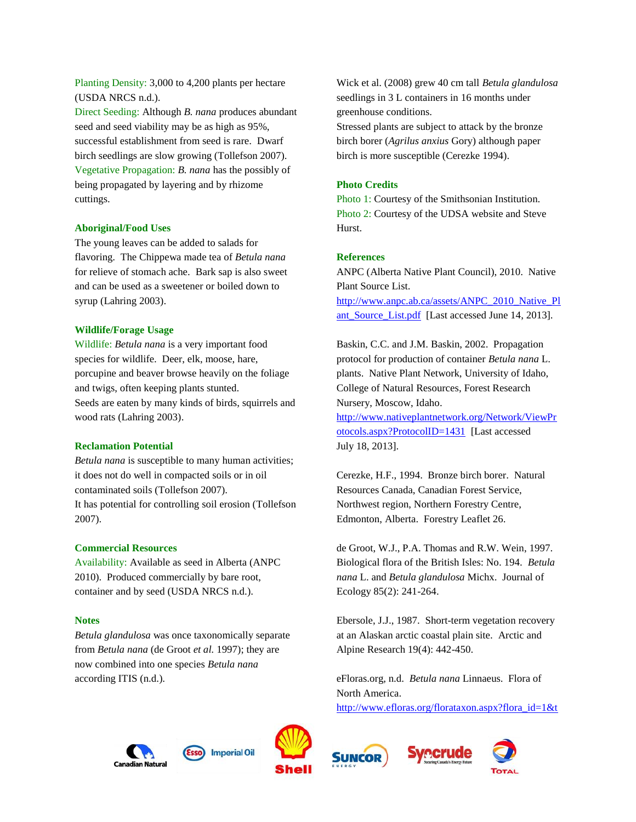Planting Density: 3,000 to 4,200 plants per hectare (USDA NRCS n.d.). Direct Seeding: Although *B. nana* produces abundant seed and seed viability may be as high as 95%, successful establishment from seed is rare. Dwarf birch seedlings are slow growing (Tollefson 2007). Vegetative Propagation: *B. nana* has the possibly of being propagated by layering and by rhizome cuttings.

# **Aboriginal/Food Uses**

The young leaves can be added to salads for flavoring. The Chippewa made tea of *Betula nana* for relieve of stomach ache. Bark sap is also sweet and can be used as a sweetener or boiled down to syrup (Lahring 2003).

## **Wildlife/Forage Usage**

Wildlife: *Betula nana* is a very important food species for wildlife. Deer, elk, moose, hare, porcupine and beaver browse heavily on the foliage and twigs, often keeping plants stunted. Seeds are eaten by many kinds of birds, squirrels and wood rats (Lahring 2003).

#### **Reclamation Potential**

*Betula nana* is susceptible to many human activities; it does not do well in compacted soils or in oil contaminated soils (Tollefson 2007). It has potential for controlling soil erosion (Tollefson 2007).

#### **Commercial Resources**

Availability: Available as seed in Alberta (ANPC 2010). Produced commercially by bare root, container and by seed (USDA NRCS n.d.).

#### **Notes**

*Betula glandulosa* was once taxonomically separate from *Betula nana* (de Groot *et al.* 1997); they are now combined into one species *Betula nana*  according ITIS (n.d.).

Wick et al. (2008) grew 40 cm tall *Betula glandulosa* seedlings in 3 L containers in 16 months under greenhouse conditions.

Stressed plants are subject to attack by the bronze birch borer (*Agrilus anxius* Gory) although paper birch is more susceptible (Cerezke 1994).

# **Photo Credits**

Photo 1: Courtesy of the Smithsonian Institution. Photo 2: Courtesy of the UDSA website and Steve Hurst.

#### **References**

ANPC (Alberta Native Plant Council), 2010. Native Plant Source List. [http://www.anpc.ab.ca/assets/ANPC\\_2010\\_Native\\_Pl](http://www.anpc.ab.ca/assets/ANPC_2010_Native_Plant_Source_List.pdf) [ant\\_Source\\_List.pdf](http://www.anpc.ab.ca/assets/ANPC_2010_Native_Plant_Source_List.pdf) [Last accessed June 14, 2013].

Baskin, C.C. and J.M. Baskin, 2002. Propagation protocol for production of container *Betula nana* L. plants. Native Plant Network, University of Idaho, College of Natural Resources, Forest Research Nursery, Moscow, Idaho. [http://www.nativeplantnetwork.org/Network/ViewPr](http://www.nativeplantnetwork.org/Network/ViewProtocols.aspx?ProtocolID=1431) [otocols.aspx?ProtocolID=1431](http://www.nativeplantnetwork.org/Network/ViewProtocols.aspx?ProtocolID=1431) [Last accessed July 18, 2013].

Cerezke, H.F., 1994. Bronze birch borer. Natural Resources Canada, Canadian Forest Service, Northwest region, Northern Forestry Centre, Edmonton, Alberta. Forestry Leaflet 26.

de Groot, W.J., P.A. Thomas and R.W. Wein, 1997. Biological flora of the British Isles: No. 194. *Betula nana* L. and *Betula glandulosa* Michx. Journal of Ecology 85(2): 241-264.

Ebersole, J.J., 1987. Short-term vegetation recovery at an Alaskan arctic coastal plain site. Arctic and Alpine Research 19(4): 442-450.

eFloras.org, n.d. *Betula nana* Linnaeus. Flora of North America.

[http://www.efloras.org/florataxon.aspx?flora\\_id=1&t](http://www.efloras.org/florataxon.aspx?flora_id=1&taxon_id=233500254)